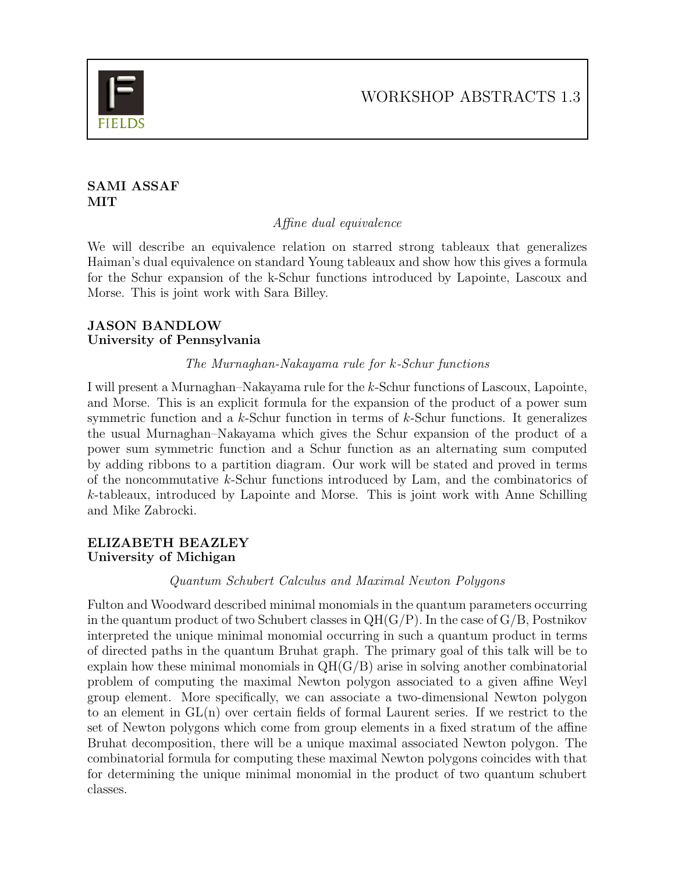

### SAMI ASSAF **MIT**

Affine dual equivalence

We will describe an equivalence relation on starred strong tableaux that generalizes Haiman's dual equivalence on standard Young tableaux and show how this gives a formula for the Schur expansion of the k-Schur functions introduced by Lapointe, Lascoux and Morse. This is joint work with Sara Billey.

# JASON BANDLOW University of Pennsylvania

# The Murnaghan-Nakayama rule for k-Schur functions

I will present a Murnaghan–Nakayama rule for the k-Schur functions of Lascoux, Lapointe, and Morse. This is an explicit formula for the expansion of the product of a power sum symmetric function and a  $k$ -Schur function in terms of  $k$ -Schur functions. It generalizes the usual Murnaghan–Nakayama which gives the Schur expansion of the product of a power sum symmetric function and a Schur function as an alternating sum computed by adding ribbons to a partition diagram. Our work will be stated and proved in terms of the noncommutative k-Schur functions introduced by Lam, and the combinatorics of k-tableaux, introduced by Lapointe and Morse. This is joint work with Anne Schilling and Mike Zabrocki.

# ELIZABETH BEAZLEY University of Michigan

# Quantum Schubert Calculus and Maximal Newton Polygons

Fulton and Woodward described minimal monomials in the quantum parameters occurring in the quantum product of two Schubert classes in  $QH(G/P)$ . In the case of  $G/B$ , Postnikov interpreted the unique minimal monomial occurring in such a quantum product in terms of directed paths in the quantum Bruhat graph. The primary goal of this talk will be to explain how these minimal monomials in  $QH(G/B)$  arise in solving another combinatorial problem of computing the maximal Newton polygon associated to a given affine Weyl group element. More specifically, we can associate a two-dimensional Newton polygon to an element in GL(n) over certain fields of formal Laurent series. If we restrict to the set of Newton polygons which come from group elements in a fixed stratum of the affine Bruhat decomposition, there will be a unique maximal associated Newton polygon. The combinatorial formula for computing these maximal Newton polygons coincides with that for determining the unique minimal monomial in the product of two quantum schubert classes.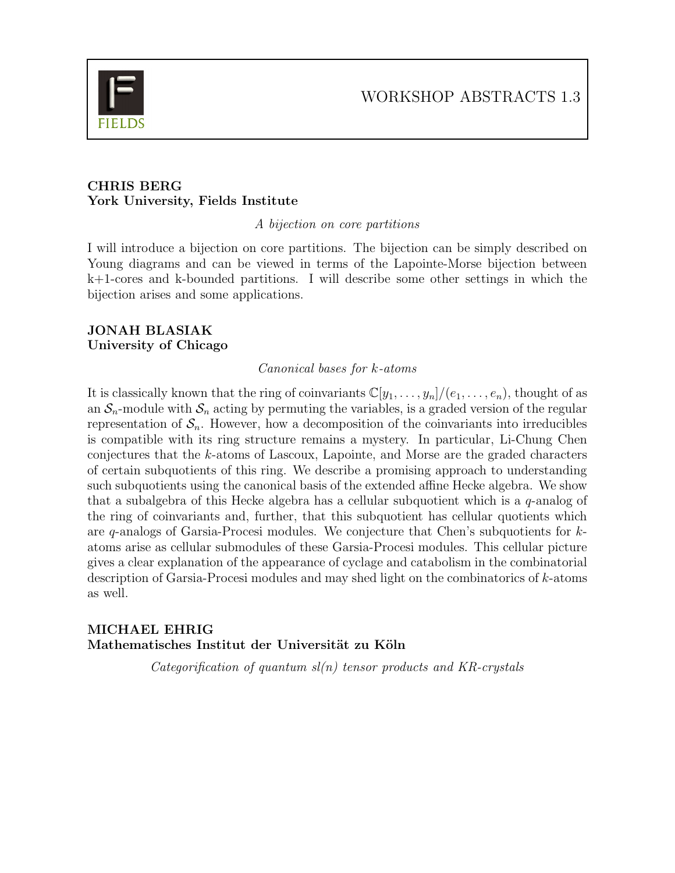#### CHRIS BERG York University, Fields Institute

A bijection on core partitions

I will introduce a bijection on core partitions. The bijection can be simply described on Young diagrams and can be viewed in terms of the Lapointe-Morse bijection between k+1-cores and k-bounded partitions. I will describe some other settings in which the bijection arises and some applications.

#### JONAH BLASIAK University of Chicago

#### Canonical bases for k-atoms

It is classically known that the ring of coinvariants  $\mathbb{C}[y_1, \ldots, y_n]/(e_1, \ldots, e_n)$ , thought of as an  $S_n$ -module with  $S_n$  acting by permuting the variables, is a graded version of the regular representation of  $S_n$ . However, how a decomposition of the coinvariants into irreducibles is compatible with its ring structure remains a mystery. In particular, Li-Chung Chen conjectures that the k-atoms of Lascoux, Lapointe, and Morse are the graded characters of certain subquotients of this ring. We describe a promising approach to understanding such subquotients using the canonical basis of the extended affine Hecke algebra. We show that a subalgebra of this Hecke algebra has a cellular subquotient which is a  $q$ -analog of the ring of coinvariants and, further, that this subquotient has cellular quotients which are q-analogs of Garsia-Procesi modules. We conjecture that Chen's subquotients for  $k$ atoms arise as cellular submodules of these Garsia-Procesi modules. This cellular picture gives a clear explanation of the appearance of cyclage and catabolism in the combinatorial description of Garsia-Procesi modules and may shed light on the combinatorics of k-atoms as well.

# MICHAEL EHRIG Mathematisches Institut der Universität zu Köln

Categorification of quantum  $sl(n)$  tensor products and KR-crystals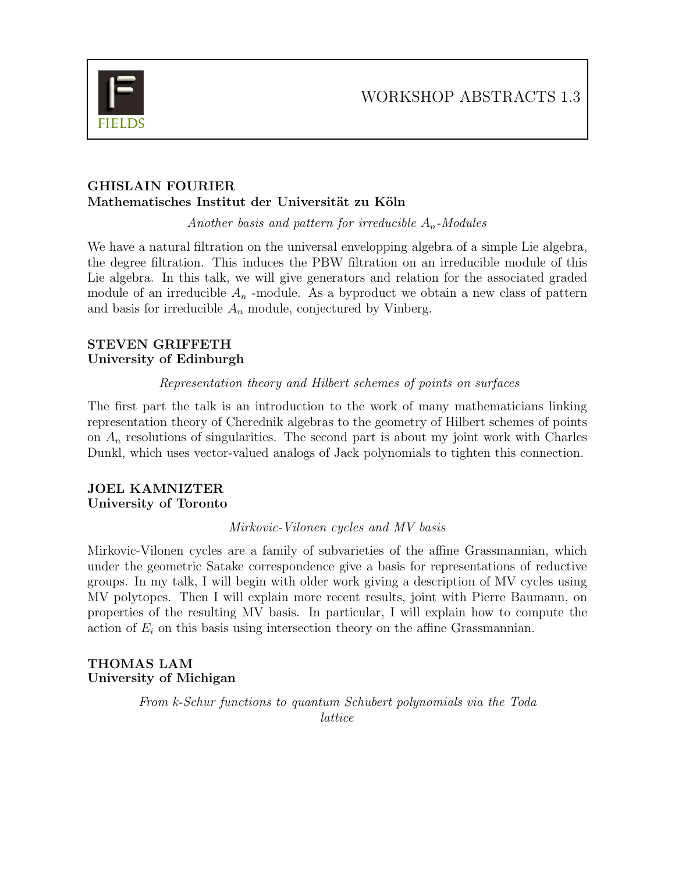

### GHISLAIN FOURIER Mathematisches Institut der Universität zu Köln

Another basis and pattern for irreducible  $A_n$ -Modules

We have a natural filtration on the universal envelopping algebra of a simple Lie algebra, the degree filtration. This induces the PBW filtration on an irreducible module of this Lie algebra. In this talk, we will give generators and relation for the associated graded module of an irreducible  $A_n$ -module. As a byproduct we obtain a new class of pattern and basis for irreducible  $A_n$  module, conjectured by Vinberg.

### STEVEN GRIFFETH University of Edinburgh

### Representation theory and Hilbert schemes of points on surfaces

The first part the talk is an introduction to the work of many mathematicians linking representation theory of Cherednik algebras to the geometry of Hilbert schemes of points on  $A_n$  resolutions of singularities. The second part is about my joint work with Charles Dunkl, which uses vector-valued analogs of Jack polynomials to tighten this connection.

### JOEL KAMNIZTER University of Toronto

#### Mirkovic-Vilonen cycles and MV basis

Mirkovic-Vilonen cycles are a family of subvarieties of the affine Grassmannian, which under the geometric Satake correspondence give a basis for representations of reductive groups. In my talk, I will begin with older work giving a description of MV cycles using MV polytopes. Then I will explain more recent results, joint with Pierre Baumann, on properties of the resulting MV basis. In particular, I will explain how to compute the action of  $E_i$  on this basis using intersection theory on the affine Grassmannian.

# THOMAS LAM University of Michigan

From k-Schur functions to quantum Schubert polynomials via the Toda lattice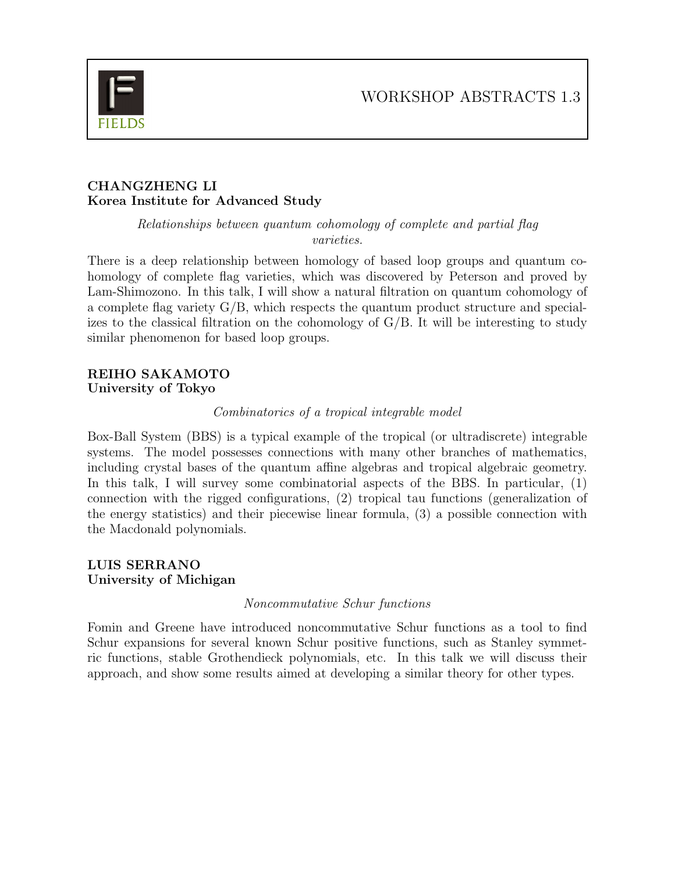

#### CHANGZHENG LI Korea Institute for Advanced Study

Relationships between quantum cohomology of complete and partial flag varieties.

There is a deep relationship between homology of based loop groups and quantum cohomology of complete flag varieties, which was discovered by Peterson and proved by Lam-Shimozono. In this talk, I will show a natural filtration on quantum cohomology of a complete flag variety  $G/B$ , which respects the quantum product structure and specializes to the classical filtration on the cohomology of  $G/B$ . It will be interesting to study similar phenomenon for based loop groups.

#### REIHO SAKAMOTO University of Tokyo

### Combinatorics of a tropical integrable model

Box-Ball System (BBS) is a typical example of the tropical (or ultradiscrete) integrable systems. The model possesses connections with many other branches of mathematics, including crystal bases of the quantum affine algebras and tropical algebraic geometry. In this talk, I will survey some combinatorial aspects of the BBS. In particular, (1) connection with the rigged configurations, (2) tropical tau functions (generalization of the energy statistics) and their piecewise linear formula, (3) a possible connection with the Macdonald polynomials.

### LUIS SERRANO University of Michigan

#### Noncommutative Schur functions

Fomin and Greene have introduced noncommutative Schur functions as a tool to find Schur expansions for several known Schur positive functions, such as Stanley symmetric functions, stable Grothendieck polynomials, etc. In this talk we will discuss their approach, and show some results aimed at developing a similar theory for other types.